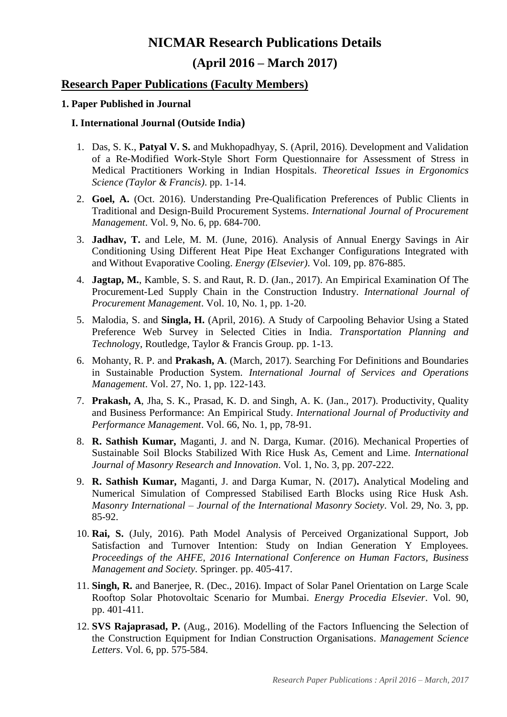# **NICMAR Research Publications Details (April 2016 – March 2017)**

# **Research Paper Publications (Faculty Members)**

# **1. Paper Published in Journal**

#### **I. International Journal (Outside India)**

- 1. Das, S. K., **Patyal V. S.** and Mukhopadhyay, S. (April, 2016). Development and Validation of a Re-Modified Work-Style Short Form Questionnaire for Assessment of Stress in Medical Practitioners Working in Indian Hospitals. *Theoretical Issues in Ergonomics Science (Taylor & Francis)*. pp. 1-14.
- 2. **Goel, A.** (Oct. 2016). Understanding Pre-Qualification Preferences of Public Clients in Traditional and Design-Build Procurement Systems. *International Journal of Procurement Management*. Vol. 9, No. 6, pp. 684-700.
- 3. **Jadhav, T.** and Lele, M. M. (June, 2016). Analysis of Annual Energy Savings in Air Conditioning Using Different Heat Pipe Heat Exchanger Configurations Integrated with and Without Evaporative Cooling. *Energy (Elsevier)*. Vol. 109, pp. 876-885.
- 4. **Jagtap, M.**, Kamble, S. S. and Raut, R. D. (Jan., 2017). An Empirical Examination Of The Procurement-Led Supply Chain in the Construction Industry. *International Journal of Procurement Management*. Vol. 10, No. 1, pp. 1-20.
- 5. Malodia, S. and **Singla, H.** (April, 2016). A Study of Carpooling Behavior Using a Stated Preference Web Survey in Selected Cities in India. *Transportation Planning and Technolog*y, Routledge, Taylor & Francis Group. pp. 1-13.
- 6. Mohanty, R. P. and **Prakash, A**. (March, 2017). Searching For Definitions and Boundaries in Sustainable Production System. *International Journal of Services and Operations Management*. Vol. 27, No. 1, pp. 122-143.
- 7. **Prakash, A**, Jha, S. K., Prasad, K. D. and Singh, A. K. (Jan., 2017). Productivity, Quality and Business Performance: An Empirical Study. *International Journal of Productivity and Performance Management*. Vol. 66, No. 1, pp, 78-91.
- 8. **R. Sathish Kumar,** Maganti, J. and N. Darga, Kumar. (2016). Mechanical Properties of Sustainable Soil Blocks Stabilized With Rice Husk As, Cement and Lime. *International Journal of Masonry Research and Innovation*. Vol. 1, No. 3, pp. 207-222.
- 9. **R. Sathish Kumar,** Maganti, J. and Darga Kumar, N. (2017)**.** Analytical Modeling and Numerical Simulation of Compressed Stabilised Earth Blocks using Rice Husk Ash. *Masonry International – Journal of the International Masonry Society*. Vol. 29, No. 3, pp. 85-92.
- 10. **Rai, S.** (July, 2016). Path Model Analysis of Perceived Organizational Support, Job Satisfaction and Turnover Intention: Study on Indian Generation Y Employees. *Proceedings of the AHFE, 2016 International Conference on Human Factors, Business Management and Society.* Springer. pp. 405-417.
- 11. **Singh, R.** and Banerjee, R. (Dec., 2016). Impact of Solar Panel Orientation on Large Scale Rooftop Solar Photovoltaic Scenario for Mumbai. *Energy Procedia Elsevier*. Vol. 90, pp. 401-411.
- 12. **SVS Rajaprasad, P.** (Aug., 2016). Modelling of the Factors Influencing the Selection of the Construction Equipment for Indian Construction Organisations. *Management Science Letters*. Vol. 6, pp. 575-584.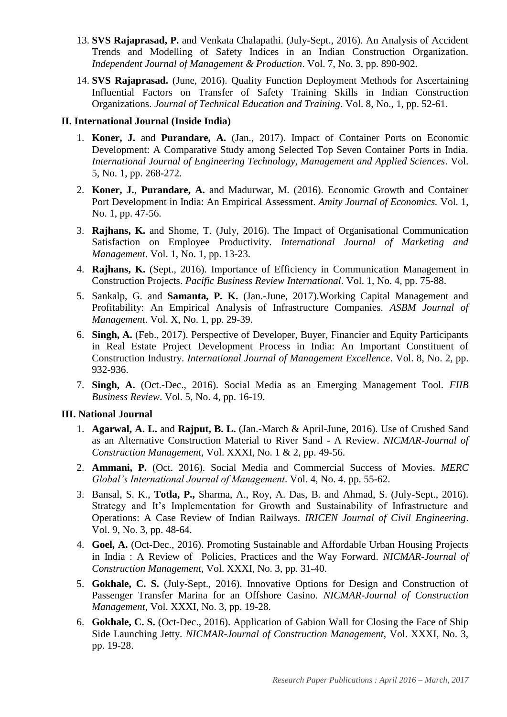- 13. **SVS Rajaprasad, P.** and Venkata Chalapathi. (July-Sept., 2016). An Analysis of Accident Trends and Modelling of Safety Indices in an Indian Construction Organization. *Independent Journal of Management & Production*. Vol. 7, No. 3, pp. 890-902.
- 14. **SVS Rajaprasad.** (June, 2016). Quality Function Deployment Methods for Ascertaining Influential Factors on Transfer of Safety Training Skills in Indian Construction Organizations. *Journal of Technical Education and Training*. Vol. 8, No., 1, pp. 52-61.

#### **II. International Journal (Inside India)**

- 1. **Koner, J.** and **Purandare, A.** (Jan., 2017). Impact of Container Ports on Economic Development: A Comparative Study among Selected Top Seven Container Ports in India. *International Journal of Engineering Technology, Management and Applied Sciences*. Vol. 5, No. 1, pp. 268-272.
- 2. **Koner, J.**, **Purandare, A.** and Madurwar, M. (2016). Economic Growth and Container Port Development in India: An Empirical Assessment. *Amity Journal of Economics.* Vol. 1, No. 1, pp. 47-56.
- 3. **Rajhans, K.** and Shome, T. (July, 2016). The Impact of Organisational Communication Satisfaction on Employee Productivity. *International Journal of Marketing and Management*. Vol. 1, No. 1, pp. 13-23.
- 4. **Rajhans, K.** (Sept., 2016). Importance of Efficiency in Communication Management in Construction Projects. *Pacific Business Review International*. Vol. 1, No. 4, pp. 75-88.
- 5. Sankalp, G. and **Samanta, P. K.** (Jan.-June, 2017).Working Capital Management and Profitability: An Empirical Analysis of Infrastructure Companies. *ASBM Journal of Management*. Vol. X, No. 1, pp. 29-39.
- 6. **Singh, A.** (Feb., 2017). Perspective of Developer, Buyer, Financier and Equity Participants in Real Estate Project Development Process in India: An Important Constituent of Construction Industry. *International Journal of Management Excellence*. Vol. 8, No. 2, pp. 932-936.
- 7. **Singh, A.** (Oct.-Dec., 2016). Social Media as an Emerging Management Tool. *FIIB Business Review*. Vol. 5, No. 4, pp. 16-19.

#### **III. National Journal**

- 1. **Agarwal, A. L.** and **Rajput, B. L.** (Jan.-March & April-June, 2016). Use of Crushed Sand as an Alternative Construction Material to River Sand - A Review. *NICMAR-Journal of Construction Management,* Vol. XXXI, No. 1 & 2, pp. 49-56.
- 2. **Ammani, P.** (Oct. 2016). Social Media and Commercial Success of Movies. *MERC Global's International Journal of Management*. Vol. 4, No. 4. pp. 55-62.
- 3. Bansal, S. K., **Totla, P.,** Sharma, A., Roy, A. Das, B. and Ahmad, S. (July-Sept., 2016). Strategy and It's Implementation for Growth and Sustainability of Infrastructure and Operations: A Case Review of Indian Railways. *IRICEN Journal of Civil Engineering*. Vol. 9, No. 3, pp. 48-64.
- 4. **Goel, A.** (Oct-Dec., 2016). Promoting Sustainable and Affordable Urban Housing Projects in India : A Review of Policies, Practices and the Way Forward. *NICMAR-Journal of Construction Management,* Vol. XXXI, No. 3, pp. 31-40.
- 5. **Gokhale, C. S.** (July-Sept., 2016). Innovative Options for Design and Construction of Passenger Transfer Marina for an Offshore Casino. *NICMAR-Journal of Construction Management,* Vol. XXXI, No. 3, pp. 19-28.
- 6. **Gokhale, C. S.** (Oct-Dec., 2016). Application of Gabion Wall for Closing the Face of Ship Side Launching Jetty. *NICMAR-Journal of Construction Management,* Vol. XXXI, No. 3, pp. 19-28.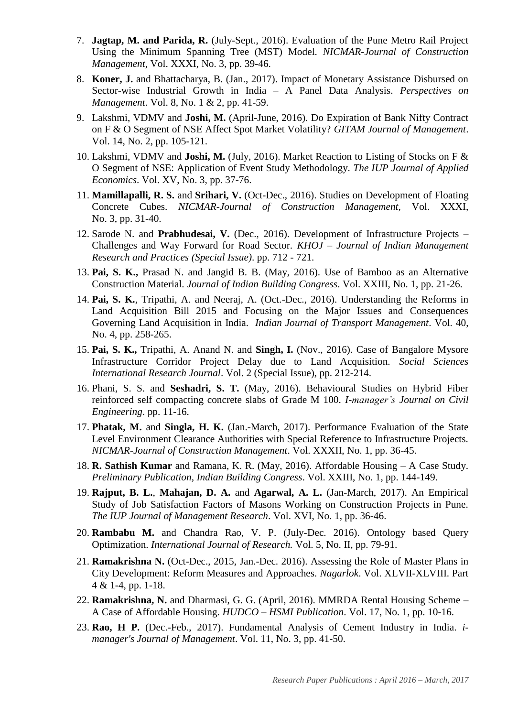- 7. **Jagtap, M. and Parida, R.** (July-Sept., 2016). Evaluation of the Pune Metro Rail Project Using the Minimum Spanning Tree (MST) Model. *NICMAR-Journal of Construction Management,* Vol. XXXI, No. 3, pp. 39-46.
- 8. **Koner, J.** and Bhattacharya, B. (Jan., 2017). Impact of Monetary Assistance Disbursed on Sector-wise Industrial Growth in India – A Panel Data Analysis. *Perspectives on Management*. Vol. 8, No. 1 & 2, pp. 41-59.
- 9. Lakshmi, VDMV and **Joshi, M.** (April-June, 2016). Do Expiration of Bank Nifty Contract on F & O Segment of NSE Affect Spot Market Volatility? *GITAM Journal of Management*. Vol. 14, No. 2, pp. 105-121.
- 10. Lakshmi, VDMV and **Joshi, M.** (July, 2016). Market Reaction to Listing of Stocks on F & O Segment of NSE: Application of Event Study Methodology. *The IUP Journal of Applied Economics*. Vol. XV, No. 3, pp. 37-76.
- 11. **Mamillapalli, R. S.** and **Srihari, V.** (Oct-Dec., 2016). Studies on Development of Floating Concrete Cubes. *NICMAR-Journal of Construction Management,* Vol. XXXI, No. 3, pp. 31-40.
- 12. Sarode N. and **Prabhudesai, V.** (Dec., 2016). Development of Infrastructure Projects Challenges and Way Forward for Road Sector. *KHOJ – Journal of Indian Management Research and Practices (Special Issue)*. pp. 712 - 721.
- 13. **Pai, S. K.,** Prasad N. and Jangid B. B. (May, 2016). Use of Bamboo as an Alternative Construction Material. *Journal of Indian Building Congress*. Vol. XXIII, No. 1, pp. 21-26.
- 14. **Pai, S. K.**, Tripathi, A. and Neeraj, A. (Oct.-Dec., 2016). Understanding the Reforms in Land Acquisition Bill 2015 and Focusing on the Major Issues and Consequences Governing Land Acquisition in India. *Indian Journal of Transport Management*. Vol. 40, No. 4, pp. 258-265.
- 15. **Pai, S. K.,** Tripathi, A. Anand N. and **Singh, I.** (Nov., 2016). Case of Bangalore Mysore Infrastructure Corridor Project Delay due to Land Acquisition. *Social Sciences International Research Journal*. Vol. 2 (Special Issue), pp. 212-214.
- 16. Phani, S. S. and **Seshadri, S. T.** (May, 2016). Behavioural Studies on Hybrid Fiber reinforced self compacting concrete slabs of Grade M 100. *I-manager's Journal on Civil Engineering*. pp. 11-16.
- 17. **Phatak, M.** and **Singla, H. K.** (Jan.-March, 2017). Performance Evaluation of the State Level Environment Clearance Authorities with Special Reference to Infrastructure Projects. *NICMAR-Journal of Construction Management*. Vol. XXXII, No. 1, pp. 36-45.
- 18. **R. Sathish Kumar** and Ramana, K. R. (May, 2016). Affordable Housing A Case Study. *Preliminary Publication, Indian Building Congress*. Vol. XXIII, No. 1, pp. 144-149.
- 19. **Rajput, B. L.**, **Mahajan, D. A.** and **Agarwal, A. L.** (Jan-March, 2017). An Empirical Study of Job Satisfaction Factors of Masons Working on Construction Projects in Pune. *The IUP Journal of Management Research*. Vol. XVI, No. 1, pp. 36-46.
- 20. **Rambabu M.** and Chandra Rao, V. P. (July-Dec. 2016). Ontology based Query Optimization. *International Journal of Research.* Vol. 5, No. II, pp. 79-91.
- 21. **Ramakrishna N.** (Oct-Dec., 2015, Jan.-Dec. 2016). Assessing the Role of Master Plans in City Development: Reform Measures and Approaches. *Nagarlok*. Vol. XLVII-XLVIII. Part 4 & 1-4, pp. 1-18.
- 22. **Ramakrishna, N.** and Dharmasi, G. G. (April, 2016). MMRDA Rental Housing Scheme A Case of Affordable Housing. *HUDCO – HSMI Publication*. Vol. 17, No. 1, pp. 10-16.
- 23. **Rao, H P.** (Dec.-Feb., 2017). Fundamental Analysis of Cement Industry in India. *imanager's Journal of Management*. Vol. 11, No. 3, pp. 41-50.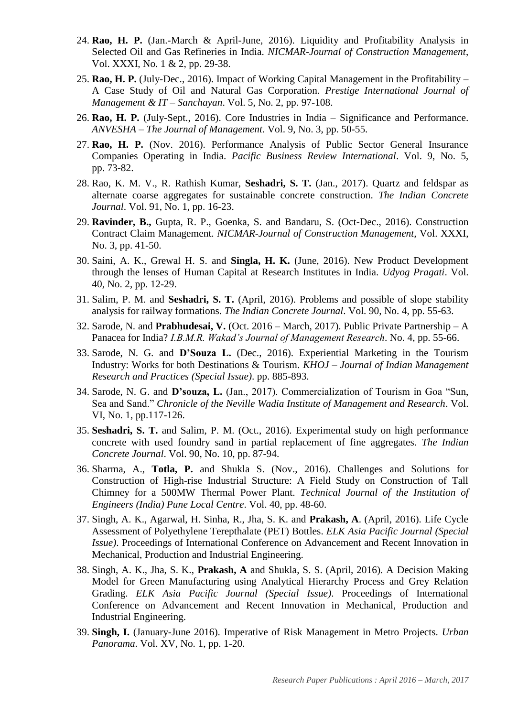- 24. **Rao, H. P.** (Jan.-March & April-June, 2016). Liquidity and Profitability Analysis in Selected Oil and Gas Refineries in India. *NICMAR-Journal of Construction Management*, Vol. XXXI, No. 1 & 2, pp. 29-38.
- 25. **Rao, H. P.** (July-Dec., 2016). Impact of Working Capital Management in the Profitability A Case Study of Oil and Natural Gas Corporation. *Prestige International Journal of Management & IT – Sanchayan*. Vol. 5, No. 2, pp. 97-108.
- 26. **Rao, H. P.** (July-Sept., 2016). Core Industries in India Significance and Performance. *ANVESHA – The Journal of Management*. Vol. 9, No. 3, pp. 50-55.
- 27. **Rao, H. P.** (Nov. 2016). Performance Analysis of Public Sector General Insurance Companies Operating in India. *Pacific Business Review International*. Vol. 9, No. 5, pp. 73-82.
- 28. Rao, K. M. V., R. Rathish Kumar, **Seshadri, S. T.** (Jan., 2017). Quartz and feldspar as alternate coarse aggregates for sustainable concrete construction. *The Indian Concrete Journal*. Vol. 91, No. 1, pp. 16-23.
- 29. **Ravinder, B.,** Gupta, R. P., Goenka, S. and Bandaru, S. (Oct-Dec., 2016). Construction Contract Claim Management. *NICMAR-Journal of Construction Management,* Vol. XXXI, No. 3, pp. 41-50.
- 30. Saini, A. K., Grewal H. S. and **Singla, H. K.** (June, 2016). New Product Development through the lenses of Human Capital at Research Institutes in India. *Udyog Pragati*. Vol. 40, No. 2, pp. 12-29.
- 31. Salim, P. M. and **Seshadri, S. T.** (April, 2016). Problems and possible of slope stability analysis for railway formations. *The Indian Concrete Journal*. Vol. 90, No. 4, pp. 55-63.
- 32. Sarode, N. and **Prabhudesai, V.** (Oct. 2016 March, 2017). Public Private Partnership A Panacea for India? *I.B.M.R. Wakad's Journal of Management Research*. No. 4, pp. 55-66.
- 33. Sarode, N. G. and **D'Souza L.** (Dec., 2016). Experiential Marketing in the Tourism Industry: Works for both Destinations & Tourism. *KHOJ – Journal of Indian Management Research and Practices (Special Issue)*. pp. 885-893.
- 34. Sarode, N. G. and **D'souza, L.** (Jan., 2017). Commercialization of Tourism in Goa "Sun, Sea and Sand." *Chronicle of the Neville Wadia Institute of Management and Research*. Vol. VI, No. 1, pp.117-126.
- 35. **Seshadri, S. T.** and Salim, P. M. (Oct., 2016). Experimental study on high performance concrete with used foundry sand in partial replacement of fine aggregates. *The Indian Concrete Journal*. Vol. 90, No. 10, pp. 87-94.
- 36. Sharma, A., **Totla, P.** and Shukla S. (Nov., 2016). Challenges and Solutions for Construction of High-rise Industrial Structure: A Field Study on Construction of Tall Chimney for a 500MW Thermal Power Plant. *Technical Journal of the Institution of Engineers (India) Pune Local Centre*. Vol. 40, pp. 48-60.
- 37. Singh, A. K., Agarwal, H. Sinha, R., Jha, S. K. and **Prakash, A**. (April, 2016). Life Cycle Assessment of Polyethylene Terepthalate (PET) Bottles. *ELK Asia Pacific Journal (Special Issue)*. Proceedings of International Conference on Advancement and Recent Innovation in Mechanical, Production and Industrial Engineering.
- 38. Singh, A. K., Jha, S. K., **Prakash, A** and Shukla, S. S. (April, 2016). A Decision Making Model for Green Manufacturing using Analytical Hierarchy Process and Grey Relation Grading. *ELK Asia Pacific Journal (Special Issue)*. Proceedings of International Conference on Advancement and Recent Innovation in Mechanical, Production and Industrial Engineering.
- 39. **Singh, I.** (January-June 2016). Imperative of Risk Management in Metro Projects. *Urban Panorama*. Vol. XV, No. 1, pp. 1-20.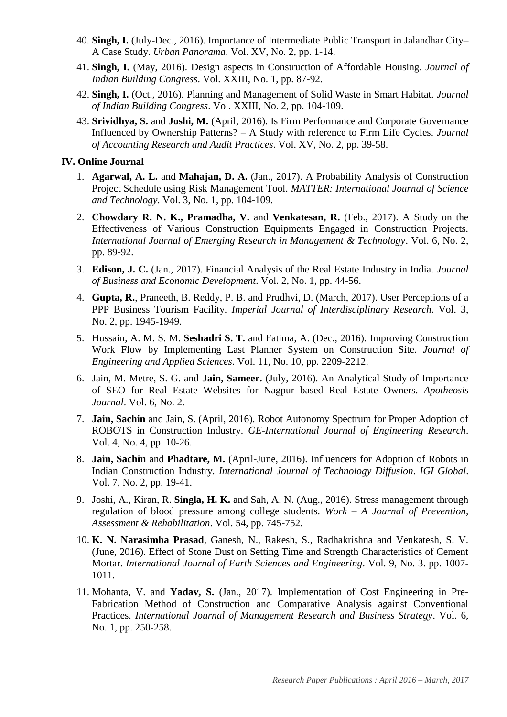- 40. **Singh, I.** (July-Dec., 2016). Importance of Intermediate Public Transport in Jalandhar City– A Case Study. *Urban Panorama*. Vol. XV, No. 2, pp. 1-14.
- 41. **Singh, I.** (May, 2016). Design aspects in Construction of Affordable Housing. *Journal of Indian Building Congress*. Vol. XXIII, No. 1, pp. 87-92.
- 42. **Singh, I.** (Oct., 2016). Planning and Management of Solid Waste in Smart Habitat. *Journal of Indian Building Congress*. Vol. XXIII, No. 2, pp. 104-109.
- 43. **Srividhya, S.** and **Joshi, M.** (April, 2016). Is Firm Performance and Corporate Governance Influenced by Ownership Patterns? – A Study with reference to Firm Life Cycles. *Journal of Accounting Research and Audit Practices*. Vol. XV, No. 2, pp. 39-58.

#### **IV. Online Journal**

- 1. **Agarwal, A. L.** and **Mahajan, D. A.** (Jan., 2017). A Probability Analysis of Construction Project Schedule using Risk Management Tool. *MATTER: International Journal of Science and Technology*. Vol. 3, No. 1, pp. 104-109.
- 2. **Chowdary R. N. K., Pramadha, V.** and **Venkatesan, R.** (Feb., 2017). A Study on the Effectiveness of Various Construction Equipments Engaged in Construction Projects. *International Journal of Emerging Research in Management & Technology*. Vol. 6, No. 2, pp. 89-92.
- 3. **Edison, J. C.** (Jan., 2017). Financial Analysis of the Real Estate Industry in India. *Journal of Business and Economic Development*. Vol. 2, No. 1, pp. 44-56.
- 4. **Gupta, R.**, Praneeth, B. Reddy, P. B. and Prudhvi, D. (March, 2017). User Perceptions of a PPP Business Tourism Facility. *Imperial Journal of Interdisciplinary Research*. Vol. 3, No. 2, pp. 1945-1949.
- 5. Hussain, A. M. S. M. **Seshadri S. T.** and Fatima, A. (Dec., 2016). Improving Construction Work Flow by Implementing Last Planner System on Construction Site. *Journal of Engineering and Applied Sciences*. Vol. 11, No. 10, pp. 2209-2212.
- 6. Jain, M. Metre, S. G. and **Jain, Sameer.** (July, 2016). An Analytical Study of Importance of SEO for Real Estate Websites for Nagpur based Real Estate Owners. *Apotheosis Journal*. Vol. 6, No. 2.
- 7. **Jain, Sachin** and Jain, S. (April, 2016). Robot Autonomy Spectrum for Proper Adoption of ROBOTS in Construction Industry. *GE-International Journal of Engineering Research*. Vol. 4, No. 4, pp. 10-26.
- 8. **Jain, Sachin** and **Phadtare, M.** (April-June, 2016). Influencers for Adoption of Robots in Indian Construction Industry. *International Journal of Technology Diffusion*. *IGI Global*. Vol. 7, No. 2, pp. 19-41.
- 9. Joshi, A., Kiran, R. **Singla, H. K.** and Sah, A. N. (Aug., 2016). Stress management through regulation of blood pressure among college students. *Work – A Journal of Prevention, Assessment & Rehabilitation*. Vol. 54, pp. 745-752.
- 10. **K. N. Narasimha Prasad**, Ganesh, N., Rakesh, S., Radhakrishna and Venkatesh, S. V. (June, 2016). Effect of Stone Dust on Setting Time and Strength Characteristics of Cement Mortar. *International Journal of Earth Sciences and Engineering*. Vol. 9, No. 3. pp. 1007- 1011.
- 11. Mohanta, V. and **Yadav, S.** (Jan., 2017). Implementation of Cost Engineering in Pre-Fabrication Method of Construction and Comparative Analysis against Conventional Practices. *International Journal of Management Research and Business Strategy*. Vol. 6, No. 1, pp. 250-258.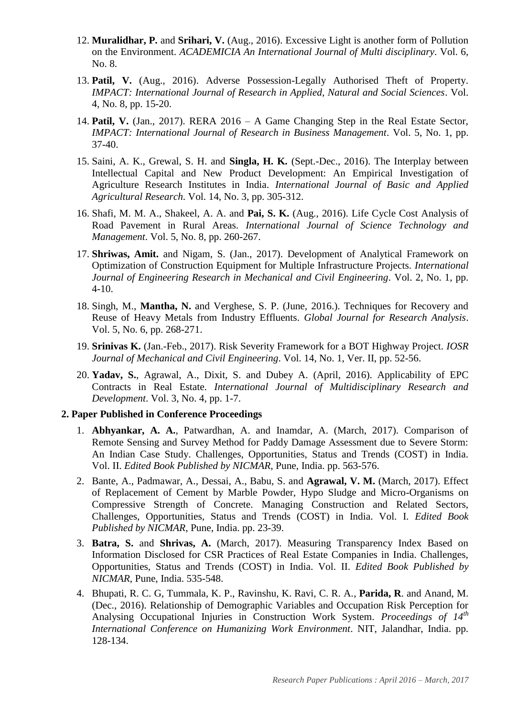- 12. **Muralidhar, P.** and **Srihari, V.** (Aug., 2016). Excessive Light is another form of Pollution on the Environment. *ACADEMICIA An International Journal of Multi disciplinary*. Vol. 6, No. 8.
- 13. **Patil, V.** (Aug., 2016). Adverse Possession-Legally Authorised Theft of Property. *IMPACT: International Journal of Research in Applied, Natural and Social Sciences*. Vol. 4, No. 8, pp. 15-20.
- 14. **Patil, V.** (Jan., 2017). RERA 2016 A Game Changing Step in the Real Estate Sector, *IMPACT: International Journal of Research in Business Management*. Vol. 5, No. 1, pp. 37-40.
- 15. Saini, A. K., Grewal, S. H. and **Singla, H. K.** (Sept.-Dec., 2016). The Interplay between Intellectual Capital and New Product Development: An Empirical Investigation of Agriculture Research Institutes in India. *International Journal of Basic and Applied Agricultural Research*. Vol. 14, No. 3, pp. 305-312.
- 16. Shafi, M. M. A., Shakeel, A. A. and **Pai, S. K.** (Aug., 2016). Life Cycle Cost Analysis of Road Pavement in Rural Areas. *International Journal of Science Technology and Management*. Vol. 5, No. 8, pp. 260-267.
- 17. **Shriwas, Amit.** and Nigam, S. (Jan., 2017). Development of Analytical Framework on Optimization of Construction Equipment for Multiple Infrastructure Projects. *International Journal of Engineering Research in Mechanical and Civil Engineering*. Vol. 2, No. 1, pp. 4-10.
- 18. Singh, M., **Mantha, N.** and Verghese, S. P. (June, 2016.). Techniques for Recovery and Reuse of Heavy Metals from Industry Effluents. *Global Journal for Research Analysis*. Vol. 5, No. 6, pp. 268-271.
- 19. **Srinivas K.** (Jan.-Feb., 2017). Risk Severity Framework for a BOT Highway Project. *IOSR Journal of Mechanical and Civil Engineering*. Vol. 14, No. 1, Ver. II, pp. 52-56.
- 20. **Yadav, S.**, Agrawal, A., Dixit, S. and Dubey A. (April, 2016). Applicability of EPC Contracts in Real Estate. *International Journal of Multidisciplinary Research and Development*. Vol. 3, No. 4, pp. 1-7.

# **2. Paper Published in Conference Proceedings**

- 1. **Abhyankar, A. A.**, Patwardhan, A. and Inamdar, A. (March, 2017). Comparison of Remote Sensing and Survey Method for Paddy Damage Assessment due to Severe Storm: An Indian Case Study. Challenges, Opportunities, Status and Trends (COST) in India. Vol. II. *Edited Book Published by NICMAR*, Pune, India. pp. 563-576.
- 2. Bante, A., Padmawar, A., Dessai, A., Babu, S. and **Agrawal, V. M.** (March, 2017). Effect of Replacement of Cement by Marble Powder, Hypo Sludge and Micro-Organisms on Compressive Strength of Concrete. Managing Construction and Related Sectors, Challenges, Opportunities, Status and Trends (COST) in India. Vol. I. *Edited Book Published by NICMAR*, Pune, India. pp. 23-39.
- 3. **Batra, S.** and **Shrivas, A.** (March, 2017). Measuring Transparency Index Based on Information Disclosed for CSR Practices of Real Estate Companies in India. Challenges, Opportunities, Status and Trends (COST) in India. Vol. II. *Edited Book Published by NICMAR*, Pune, India. 535-548.
- 4. Bhupati, R. C. G, Tummala, K. P., Ravinshu, K. Ravi, C. R. A., **Parida, R**. and Anand, M. (Dec., 2016). Relationship of Demographic Variables and Occupation Risk Perception for Analysing Occupational Injuries in Construction Work System. *Proceedings of 14th International Conference on Humanizing Work Environment*. NIT, Jalandhar, India. pp. 128-134.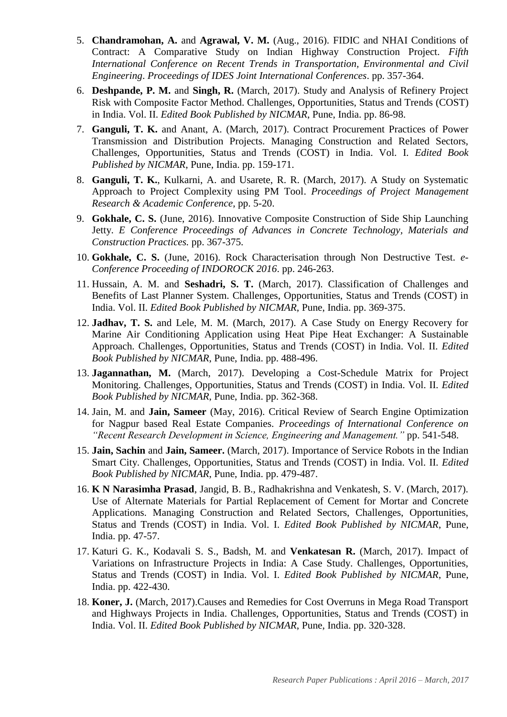- 5. **Chandramohan, A.** and **Agrawal, V. M.** (Aug., 2016). FIDIC and NHAI Conditions of Contract: A Comparative Study on Indian Highway Construction Project. *Fifth International Conference on Recent Trends in Transportation, Environmental and Civil Engineering*. *Proceedings of IDES Joint International Conferences*. pp. 357-364.
- 6. **Deshpande, P. M.** and **Singh, R.** (March, 2017). Study and Analysis of Refinery Project Risk with Composite Factor Method. Challenges, Opportunities, Status and Trends (COST) in India. Vol. II. *Edited Book Published by NICMAR*, Pune, India. pp. 86-98.
- 7. **Ganguli, T. K.** and Anant, A. (March, 2017). Contract Procurement Practices of Power Transmission and Distribution Projects. Managing Construction and Related Sectors, Challenges, Opportunities, Status and Trends (COST) in India. Vol. I. *Edited Book Published by NICMAR*, Pune, India. pp. 159-171.
- 8. **Ganguli, T. K.**, Kulkarni, A. and Usarete, R. R. (March, 2017). A Study on Systematic Approach to Project Complexity using PM Tool. *Proceedings of Project Management Research & Academic Conference*, pp. 5-20.
- 9. **Gokhale, C. S.** (June, 2016). Innovative Composite Construction of Side Ship Launching Jetty. *E Conference Proceedings of Advances in Concrete Technology, Materials and Construction Practices.* pp. 367-375.
- 10. **Gokhale, C. S.** (June, 2016). Rock Characterisation through Non Destructive Test. *e-Conference Proceeding of INDOROCK 2016*. pp. 246-263.
- 11. Hussain, A. M. and **Seshadri, S. T.** (March, 2017). Classification of Challenges and Benefits of Last Planner System. Challenges, Opportunities, Status and Trends (COST) in India. Vol. II. *Edited Book Published by NICMAR*, Pune, India. pp. 369-375.
- 12. **Jadhav, T. S.** and Lele, M. M. (March, 2017). A Case Study on Energy Recovery for Marine Air Conditioning Application using Heat Pipe Heat Exchanger: A Sustainable Approach. Challenges, Opportunities, Status and Trends (COST) in India. Vol. II. *Edited Book Published by NICMAR*, Pune, India. pp. 488-496.
- 13. **Jagannathan, M.** (March, 2017). Developing a Cost-Schedule Matrix for Project Monitoring. Challenges, Opportunities, Status and Trends (COST) in India. Vol. II. *Edited Book Published by NICMAR*, Pune, India. pp. 362-368.
- 14. Jain, M. and **Jain, Sameer** (May, 2016). Critical Review of Search Engine Optimization for Nagpur based Real Estate Companies. *Proceedings of International Conference on "Recent Research Development in Science, Engineering and Management."* pp. 541-548.
- 15. **Jain, Sachin** and **Jain, Sameer.** (March, 2017). Importance of Service Robots in the Indian Smart City. Challenges, Opportunities, Status and Trends (COST) in India. Vol. II. *Edited Book Published by NICMAR*, Pune, India. pp. 479-487.
- 16. **K N Narasimha Prasad**, Jangid, B. B., Radhakrishna and Venkatesh, S. V. (March, 2017). Use of Alternate Materials for Partial Replacement of Cement for Mortar and Concrete Applications. Managing Construction and Related Sectors, Challenges, Opportunities, Status and Trends (COST) in India. Vol. I. *Edited Book Published by NICMAR*, Pune, India. pp. 47-57.
- 17. Katuri G. K., Kodavali S. S., Badsh, M. and **Venkatesan R.** (March, 2017). Impact of Variations on Infrastructure Projects in India: A Case Study. Challenges, Opportunities, Status and Trends (COST) in India. Vol. I. *Edited Book Published by NICMAR*, Pune, India. pp. 422-430.
- 18. **Koner, J.** (March, 2017).Causes and Remedies for Cost Overruns in Mega Road Transport and Highways Projects in India. Challenges, Opportunities, Status and Trends (COST) in India. Vol. II. *Edited Book Published by NICMAR*, Pune, India. pp. 320-328.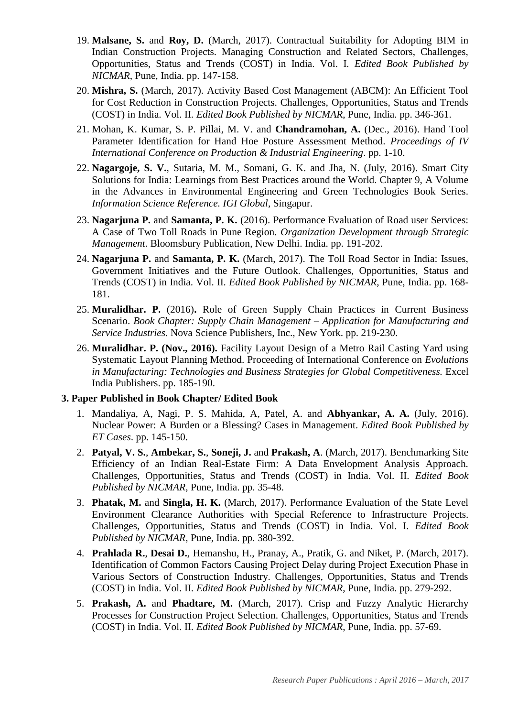- 19. **Malsane, S.** and **Roy, D.** (March, 2017). Contractual Suitability for Adopting BIM in Indian Construction Projects. Managing Construction and Related Sectors, Challenges, Opportunities, Status and Trends (COST) in India. Vol. I. *Edited Book Published by NICMAR*, Pune, India. pp. 147-158.
- 20. **Mishra, S.** (March, 2017). Activity Based Cost Management (ABCM): An Efficient Tool for Cost Reduction in Construction Projects. Challenges, Opportunities, Status and Trends (COST) in India. Vol. II. *Edited Book Published by NICMAR*, Pune, India. pp. 346-361.
- 21. Mohan, K. Kumar, S. P. Pillai, M. V. and **Chandramohan, A.** (Dec., 2016). Hand Tool Parameter Identification for Hand Hoe Posture Assessment Method. *Proceedings of IV International Conference on Production & Industrial Engineering*. pp. 1-10.
- 22. **Nagargoje, S. V.**, Sutaria, M. M., Somani, G. K. and Jha, N. (July, 2016). Smart City Solutions for India: Learnings from Best Practices around the World. Chapter 9, A Volume in the Advances in Environmental Engineering and Green Technologies Book Series. *Information Science Reference. IGI Global*, Singapur.
- 23. **Nagarjuna P.** and **Samanta, P. K.** (2016). Performance Evaluation of Road user Services: A Case of Two Toll Roads in Pune Region. *Organization Development through Strategic Management*. Bloomsbury Publication, New Delhi. India. pp. 191-202.
- 24. **Nagarjuna P.** and **Samanta, P. K.** (March, 2017). The Toll Road Sector in India: Issues, Government Initiatives and the Future Outlook. Challenges, Opportunities, Status and Trends (COST) in India. Vol. II. *Edited Book Published by NICMAR*, Pune, India. pp. 168- 181.
- 25. **Muralidhar. P.** (2016)**.** Role of Green Supply Chain Practices in Current Business Scenario. *Book Chapter: Supply Chain Management – Application for Manufacturing and Service Industries*. Nova Science Publishers, Inc., New York. pp. 219-230.
- 26. **Muralidhar. P. (Nov., 2016).** Facility Layout Design of a Metro Rail Casting Yard using Systematic Layout Planning Method. Proceeding of International Conference on *Evolutions in Manufacturing: Technologies and Business Strategies for Global Competitiveness.* Excel India Publishers. pp. 185-190.

#### **3. Paper Published in Book Chapter/ Edited Book**

- 1. Mandaliya, A, Nagi, P. S. Mahida, A, Patel, A. and **Abhyankar, A. A.** (July, 2016). Nuclear Power: A Burden or a Blessing? Cases in Management. *Edited Book Published by ET Cases*. pp. 145-150.
- 2. **Patyal, V. S.**, **Ambekar, S.**, **Soneji, J.** and **Prakash, A**. (March, 2017). Benchmarking Site Efficiency of an Indian Real-Estate Firm: A Data Envelopment Analysis Approach. Challenges, Opportunities, Status and Trends (COST) in India. Vol. II. *Edited Book Published by NICMAR*, Pune, India. pp. 35-48.
- 3. **Phatak, M.** and **Singla, H. K.** (March, 2017). Performance Evaluation of the State Level Environment Clearance Authorities with Special Reference to Infrastructure Projects. Challenges, Opportunities, Status and Trends (COST) in India. Vol. I. *Edited Book Published by NICMAR*, Pune, India. pp. 380-392.
- 4. **Prahlada R.**, **Desai D.**, Hemanshu, H., Pranay, A., Pratik, G. and Niket, P. (March, 2017). Identification of Common Factors Causing Project Delay during Project Execution Phase in Various Sectors of Construction Industry. Challenges, Opportunities, Status and Trends (COST) in India. Vol. II. *Edited Book Published by NICMAR*, Pune, India. pp. 279-292.
- 5. **Prakash, A.** and **Phadtare, M.** (March, 2017). Crisp and Fuzzy Analytic Hierarchy Processes for Construction Project Selection. Challenges, Opportunities, Status and Trends (COST) in India. Vol. II. *Edited Book Published by NICMAR*, Pune, India. pp. 57-69.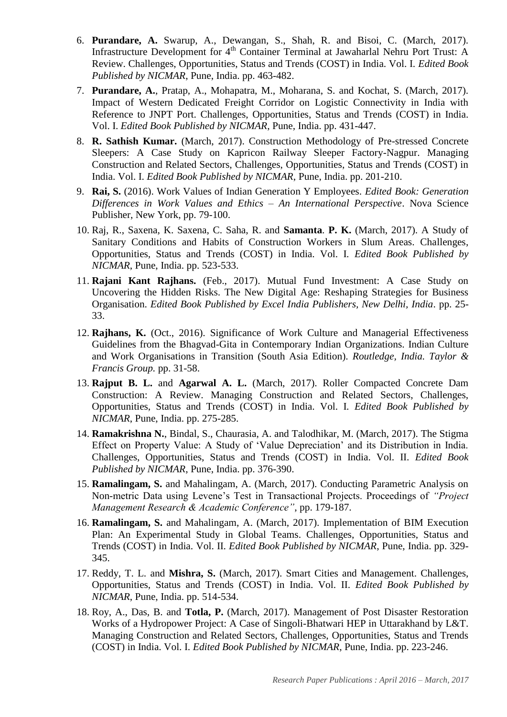- 6. **Purandare, A.** Swarup, A., Dewangan, S., Shah, R. and Bisoi, C. (March, 2017). Infrastructure Development for 4<sup>th</sup> Container Terminal at Jawaharlal Nehru Port Trust: A Review. Challenges, Opportunities, Status and Trends (COST) in India. Vol. I. *Edited Book Published by NICMAR*, Pune, India. pp. 463-482.
- 7. **Purandare, A.**, Pratap, A., Mohapatra, M., Moharana, S. and Kochat, S. (March, 2017). Impact of Western Dedicated Freight Corridor on Logistic Connectivity in India with Reference to JNPT Port. Challenges, Opportunities, Status and Trends (COST) in India. Vol. I. *Edited Book Published by NICMAR*, Pune, India. pp. 431-447.
- 8. **R. Sathish Kumar.** (March, 2017). Construction Methodology of Pre-stressed Concrete Sleepers: A Case Study on Kapricon Railway Sleeper Factory-Nagpur. Managing Construction and Related Sectors, Challenges, Opportunities, Status and Trends (COST) in India. Vol. I. *Edited Book Published by NICMAR*, Pune, India. pp. 201-210.
- 9. **Rai, S.** (2016). Work Values of Indian Generation Y Employees. *Edited Book: Generation Differences in Work Values and Ethics – An International Perspective*. Nova Science Publisher, New York, pp. 79-100.
- 10. Raj, R., Saxena, K. Saxena, C. Saha, R. and **Samanta**. **P. K.** (March, 2017). A Study of Sanitary Conditions and Habits of Construction Workers in Slum Areas. Challenges, Opportunities, Status and Trends (COST) in India. Vol. I. *Edited Book Published by NICMAR*, Pune, India. pp. 523-533.
- 11. **Rajani Kant Rajhans.** (Feb., 2017). Mutual Fund Investment: A Case Study on Uncovering the Hidden Risks. The New Digital Age: Reshaping Strategies for Business Organisation. *Edited Book Published by Excel India Publishers, New Delhi, India*. pp. 25- 33.
- 12. **Rajhans, K.** (Oct., 2016). Significance of Work Culture and Managerial Effectiveness Guidelines from the Bhagvad-Gita in Contemporary Indian Organizations. Indian Culture and Work Organisations in Transition (South Asia Edition). *Routledge, India. Taylor & Francis Group.* pp. 31-58.
- 13. **Rajput B. L.** and **Agarwal A. L.** (March, 2017). Roller Compacted Concrete Dam Construction: A Review. Managing Construction and Related Sectors, Challenges, Opportunities, Status and Trends (COST) in India. Vol. I. *Edited Book Published by NICMAR*, Pune, India. pp. 275-285.
- 14. **Ramakrishna N.**, Bindal, S., Chaurasia, A. and Talodhikar, M. (March, 2017). The Stigma Effect on Property Value: A Study of 'Value Depreciation' and its Distribution in India. Challenges, Opportunities, Status and Trends (COST) in India. Vol. II. *Edited Book Published by NICMAR*, Pune, India. pp. 376-390.
- 15. **Ramalingam, S.** and Mahalingam, A. (March, 2017). Conducting Parametric Analysis on Non-metric Data using Levene's Test in Transactional Projects. Proceedings of *"Project Management Research & Academic Conference"*, pp. 179-187.
- 16. **Ramalingam, S.** and Mahalingam, A. (March, 2017). Implementation of BIM Execution Plan: An Experimental Study in Global Teams. Challenges, Opportunities, Status and Trends (COST) in India. Vol. II. *Edited Book Published by NICMAR*, Pune, India. pp. 329- 345.
- 17. Reddy, T. L. and **Mishra, S.** (March, 2017). Smart Cities and Management. Challenges, Opportunities, Status and Trends (COST) in India. Vol. II. *Edited Book Published by NICMAR*, Pune, India. pp. 514-534.
- 18. Roy, A., Das, B. and **Totla, P.** (March, 2017). Management of Post Disaster Restoration Works of a Hydropower Project: A Case of Singoli-Bhatwari HEP in Uttarakhand by L&T. Managing Construction and Related Sectors, Challenges, Opportunities, Status and Trends (COST) in India. Vol. I. *Edited Book Published by NICMAR*, Pune, India. pp. 223-246.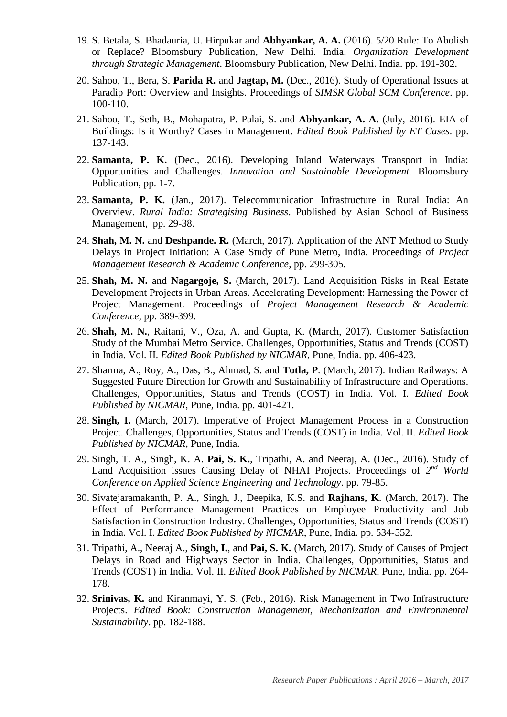- 19. S. Betala, S. Bhadauria, U. Hirpukar and **Abhyankar, A. A.** (2016). 5/20 Rule: To Abolish or Replace? Bloomsbury Publication, New Delhi. India. *Organization Development through Strategic Management*. Bloomsbury Publication, New Delhi. India. pp. 191-302.
- 20. Sahoo, T., Bera, S. **Parida R.** and **Jagtap, M.** (Dec., 2016). Study of Operational Issues at Paradip Port: Overview and Insights. Proceedings of *SIMSR Global SCM Conference*. pp. 100-110.
- 21. Sahoo, T., Seth, B., Mohapatra, P. Palai, S. and **Abhyankar, A. A.** (July, 2016). EIA of Buildings: Is it Worthy? Cases in Management. *Edited Book Published by ET Cases*. pp. 137-143.
- 22. **Samanta, P. K.** (Dec., 2016). Developing Inland Waterways Transport in India: Opportunities and Challenges. *Innovation and Sustainable Development.* Bloomsbury Publication, pp. 1-7.
- 23. **Samanta, P. K.** (Jan., 2017). Telecommunication Infrastructure in Rural India: An Overview. *Rural India: Strategising Business*. Published by Asian School of Business Management, pp. 29-38.
- 24. **Shah, M. N.** and **Deshpande. R.** (March, 2017). Application of the ANT Method to Study Delays in Project Initiation: A Case Study of Pune Metro, India. Proceedings of *Project Management Research & Academic Conference*, pp. 299-305.
- 25. **Shah, M. N.** and **Nagargoje, S.** (March, 2017). Land Acquisition Risks in Real Estate Development Projects in Urban Areas. Accelerating Development: Harnessing the Power of Project Management. Proceedings of *Project Management Research & Academic Conference*, pp. 389-399.
- 26. **Shah, M. N.**, Raitani, V., Oza, A. and Gupta, K. (March, 2017). Customer Satisfaction Study of the Mumbai Metro Service. Challenges, Opportunities, Status and Trends (COST) in India. Vol. II. *Edited Book Published by NICMAR*, Pune, India. pp. 406-423.
- 27. Sharma, A., Roy, A., Das, B., Ahmad, S. and **Totla, P**. (March, 2017). Indian Railways: A Suggested Future Direction for Growth and Sustainability of Infrastructure and Operations. Challenges, Opportunities, Status and Trends (COST) in India. Vol. I. *Edited Book Published by NICMAR*, Pune, India. pp. 401-421.
- 28. **Singh, I.** (March, 2017). Imperative of Project Management Process in a Construction Project. Challenges, Opportunities, Status and Trends (COST) in India. Vol. II. *Edited Book Published by NICMAR*, Pune, India.
- 29. Singh, T. A., Singh, K. A. **Pai, S. K.**, Tripathi, A. and Neeraj, A. (Dec., 2016). Study of Land Acquisition issues Causing Delay of NHAI Projects. Proceedings of  $2^{nd}$  World *Conference on Applied Science Engineering and Technology*. pp. 79-85.
- 30. Sivatejaramakanth, P. A., Singh, J., Deepika, K.S. and **Rajhans, K**. (March, 2017). The Effect of Performance Management Practices on Employee Productivity and Job Satisfaction in Construction Industry. Challenges, Opportunities, Status and Trends (COST) in India. Vol. I. *Edited Book Published by NICMAR*, Pune, India. pp. 534-552.
- 31. Tripathi, A., Neeraj A., **Singh, I.**, and **Pai, S. K.** (March, 2017). Study of Causes of Project Delays in Road and Highways Sector in India. Challenges, Opportunities, Status and Trends (COST) in India. Vol. II. *Edited Book Published by NICMAR*, Pune, India. pp. 264- 178.
- 32. **Srinivas, K.** and Kiranmayi, Y. S. (Feb., 2016). Risk Management in Two Infrastructure Projects. *Edited Book: Construction Management, Mechanization and Environmental Sustainability*. pp. 182-188.